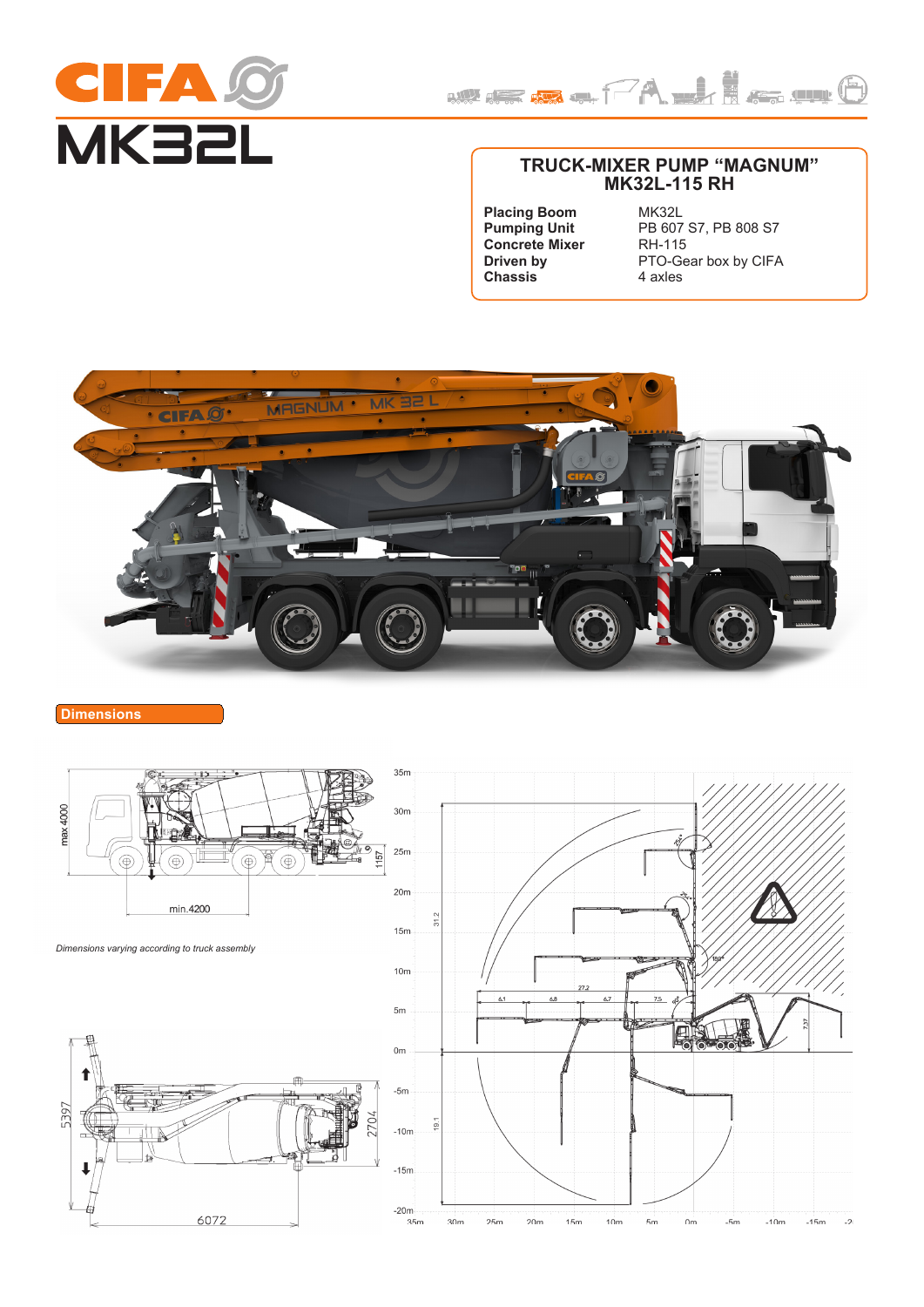



# **TRUCK-MIXER PUMP "MAGNUM" MK32L-115 RH**

**Placing Boom Pumping Unit Concrete Mixer Driven by Chassis**

MK32L PB 607 S7, PB 808 S7 RH-115 PTO-Gear box by CIFA 4 axles



# **Dimensions**